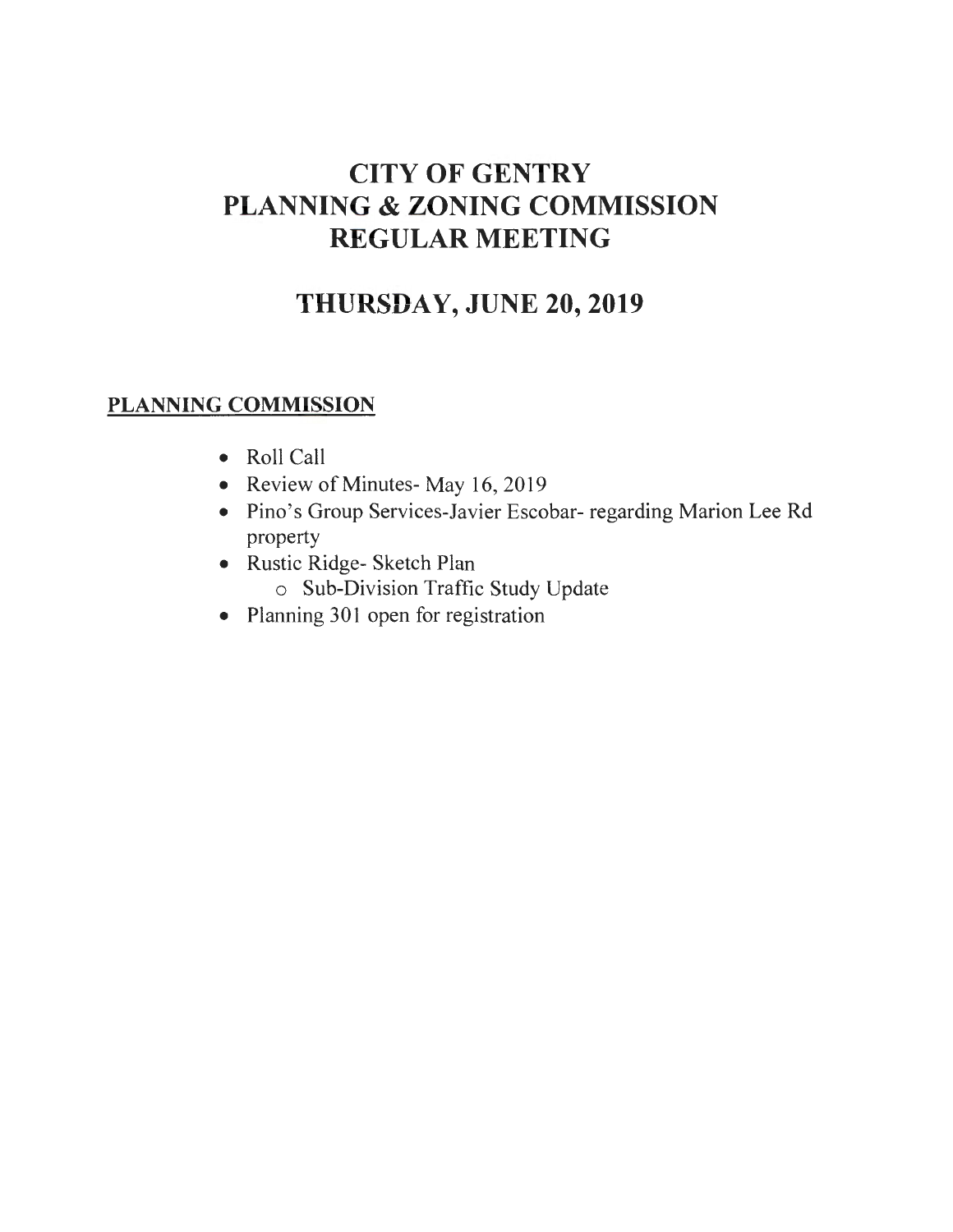# **CITY OF GENTRY PLANNING & ZONING COMMISSION REGULAR MEETING**

# **THURSDAY, JUNE 20,2019**

### **PLANNING COMMISSION**

- Roll Call
- Review of Minutes- May 16, 2019
- Pino's Group Services-Javier Escobar- regarding Marion Lee Rd property
- Rustic Ridge- Sketch Plan
	- o Sub-Division Traffic Study Update
- Planning 301 open for registration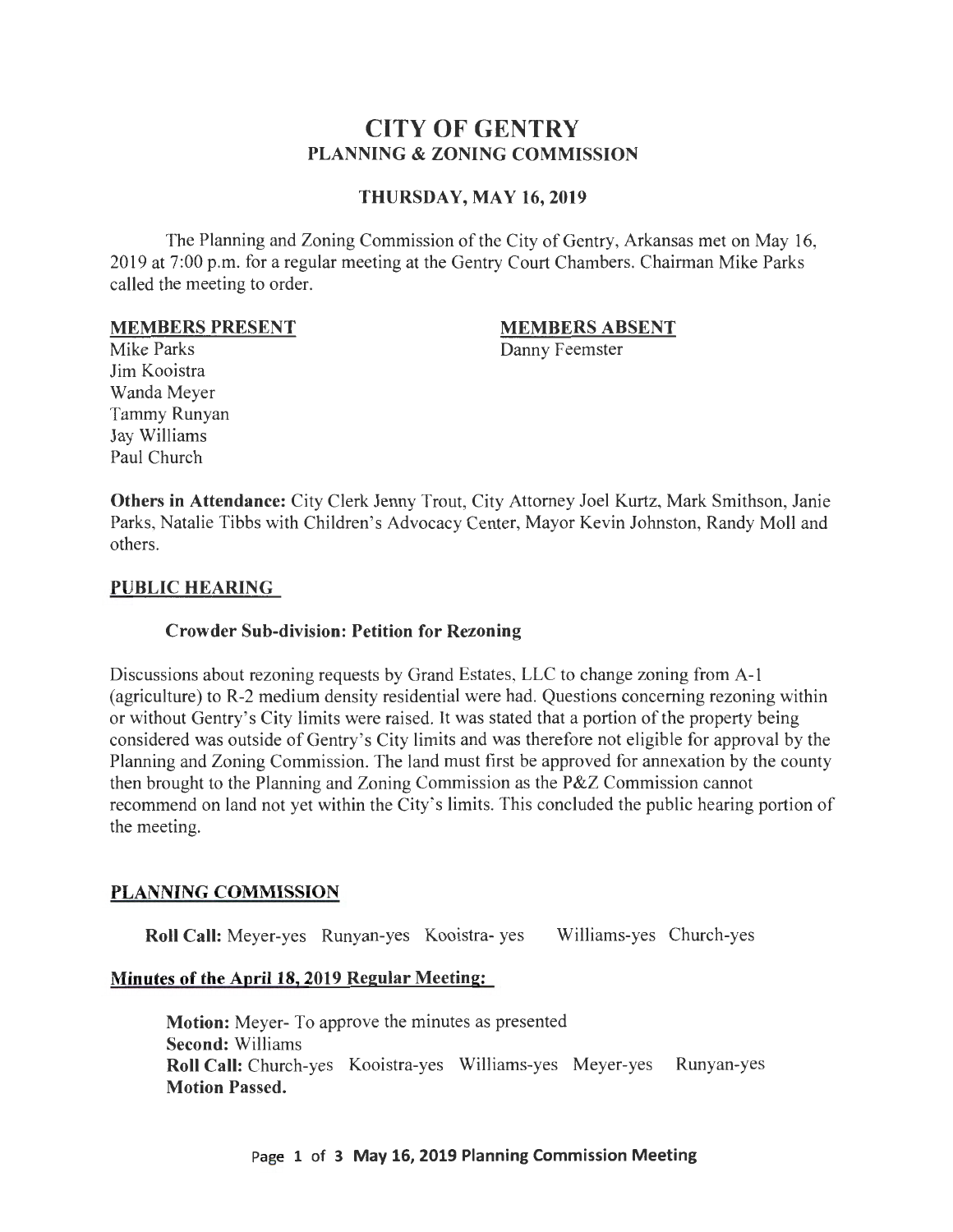### **CITY OF GENTRY PLANNING & ZONING COMMISSION**

#### **THURSDAY, MAY 16, 2019**

The Planning and Zoning Commission of the City of Gentry, Arkansas met on May 16, 2019 at 7:00 p.m. for a regular meeting at the Gentry Court Chambers. Chairman Mike Parks called the meeting to order.

#### **MEMBERS PRESENT**

#### **MEMBERS ABSENT**

Danny Feemster

Mike Parks Jim Kooistra Wanda Meyer Tammy Runyan Jay Williams Paul Church

**Others in Attendance:** City Clerk Jenny Trout, City Attorney Joel Kurtz, Mark Smithson, Janie Parks, Natalie Tibbs with Children's Advocacy Center, Mayor Kevin Johnston, Randy Moll and others.

#### **PUBLIC HEARING**

#### **Crowder Sub-division: Petition for Rezoning**

Discussions about rezoning requests by Grand Estates, LLC to change zoning from A-1 (agriculture) to R-2 medium density residential were had. Questions concerning rezoning within or without Gentry's City limits were raised. It was stated that a portion of the property being considered was outside of Gentry's City limits and was therefore not eligible for approval by the Planning and Zoning Commission. The land must first be approved for annexation by the county then brought to the Planning and Zoning Commission as the P&Z Commission cannot recommend on land not yet within the City's limits. This concluded the public hearing portion of the meeting.

### **PLANNING COMMISSION**

**Roll Call:** Meyer-yes Runyan-yes Kooistra- yes Williams-yes Church-yes

#### **Minutes of the April 18, 2019 Regular Meeting:**

**Motion:** Meyer- To approve the minutes as presented **Second:** Williams **Roll Call:** Church-yes Kooistra-yes Williams-yes Meyer-yes Runyan-yes **Motion Passed.** 

#### Page **1 of 3 May 16, 2019 Planning Commission Meeting**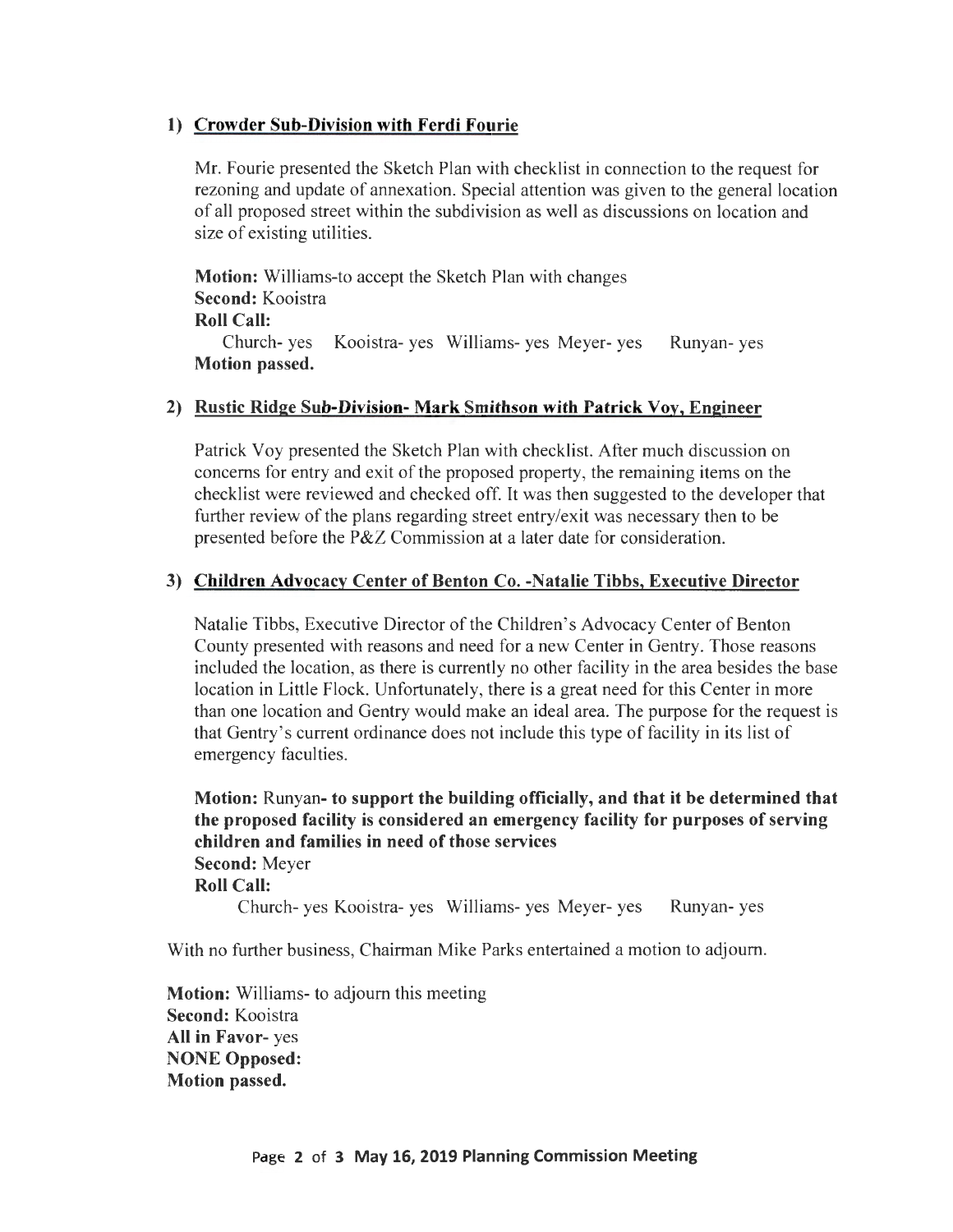#### **1) Crowder Sub-Division with Ferdi Fourie**

Mr. Fourie presented the Sketch Plan with checklist in connection to the request for rezoning and update of annexation. Special attention was given to the general location of all proposed street within the subdivision as well as discussions on location and size of existing utilities.

**Motion:** Williams-to accept the Sketch Plan with changes **Second:** Kooistra

#### **Roll Call:**

Church- yes Kooistra- yes Williams- yes Meyer- yes Runyan- yes **Motion passed.** 

#### **2) Rustic Ridge Sub-Division- Mark Smithson with Patrick Voy, Engineer**

Patrick Voy presented the Sketch Plan with checklist. After much discussion on concerns for entry and exit of the proposed property, the remaining items on the checklist were reviewed and checked off. It was then suggested to the developer that further review of the plans regarding street entry/exit was necessary then to be presented before the P&Z Commission at a later date for consideration.

#### **3) Children Advocacy Center of Benton Co. -Natalie Tibbs, Executive Director**

Natalie Tibbs, Executive Director of the Children's Advocacy Center of Benton County presented with reasons and need for a new Center in Gentry. Those reasons included the location, as there is currently no other facility in the area besides the base location in Little Flock. Unfortunately, there is a great need for this Center in more than one location and Gentry would make an ideal area. The purpose for the request is that Gentry's current ordinance does not include this type of facility in its list of emergency faculties.

**Motion:** Runyan- **to support the building officially, and that it be determined that the proposed facility is considered an emergency facility for purposes of serving children and families in need of those services Second:** Meyer **Roll Call:**  Church- yes Kooistra- yes Williams- yes Meyer- yes Runyan- yes

With no further business, Chairman Mike Parks entertained a motion to adjourn.

**Motion:** Williams- to adjourn this meeting **Second:** Kooistra **All in Favor-** yes **NONE Opposed: Motion passed.**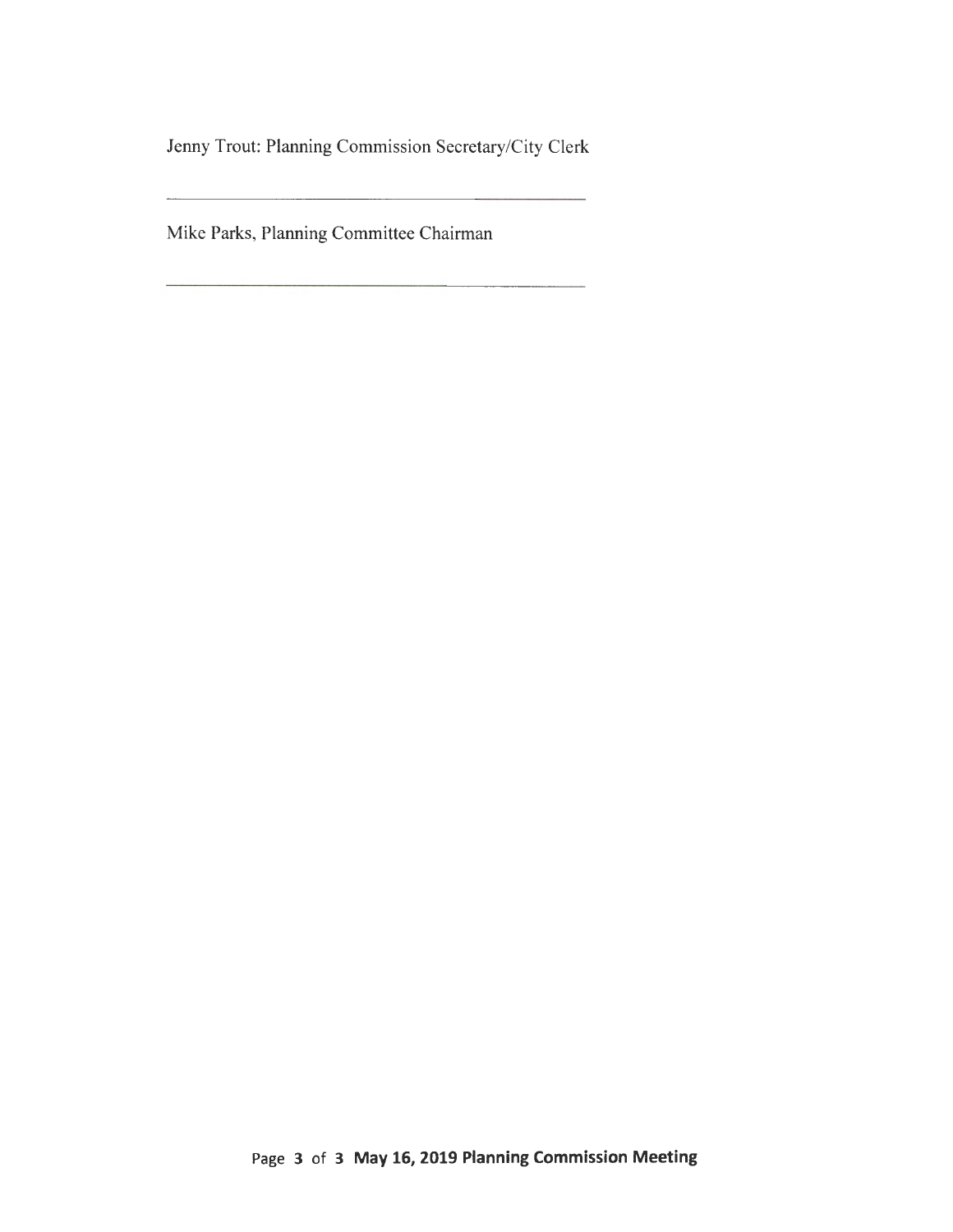Jenny Trout: Planning Commission Secretary/City Clerk

Mike Parks, Planning Committee Chairman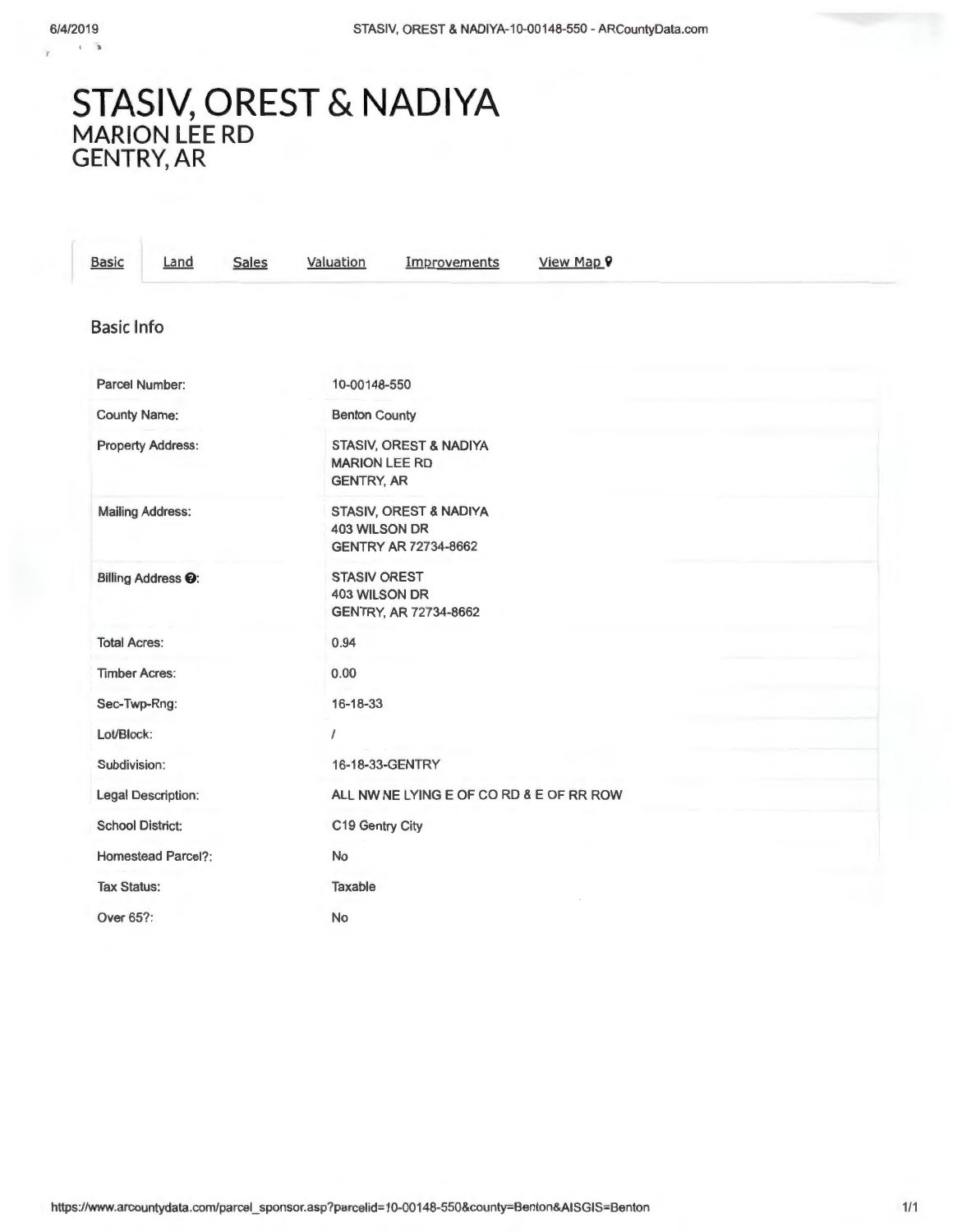÷

## **STASIV, OREST & NADIYA MARION LEE RD GENTRY,AR**

| <b>Basic</b><br><b>Sales</b><br>Land | View Map 9<br>Valuation<br>Improvements                                       |
|--------------------------------------|-------------------------------------------------------------------------------|
| <b>Basic Info</b>                    |                                                                               |
| Parcel Number:                       | 10-00148-550                                                                  |
| <b>County Name:</b>                  | <b>Benton County</b>                                                          |
| <b>Property Address:</b>             | STASIV, OREST & NADIYA<br><b>MARION LEE RD</b><br><b>GENTRY, AR</b>           |
| <b>Mailing Address:</b>              | STASIV, OREST & NADIYA<br><b>403 WILSON DR</b><br><b>GENTRY AR 72734-8662</b> |
| Billing Address <sup>O</sup> :       | <b>STASIV OREST</b><br><b>403 WILSON DR</b><br>GENTRY, AR 72734-8662          |
| <b>Total Acres:</b>                  | 0.94                                                                          |
| <b>Timber Acres:</b>                 | 0.00                                                                          |
| Sec-Twp-Rng:                         | 16-18-33                                                                      |
| Lot/Block:                           | $\prime$                                                                      |
| Subdivision:                         | 16-18-33-GENTRY                                                               |
| <b>Legal Description:</b>            | ALL NW NE LYING E OF CO RD & E OF RR ROW                                      |
| <b>School District:</b>              | C19 Gentry City                                                               |
| <b>Homestead Parcel?:</b>            | No                                                                            |
| <b>Tax Status:</b>                   | Taxable                                                                       |
| Over 65?:                            | No                                                                            |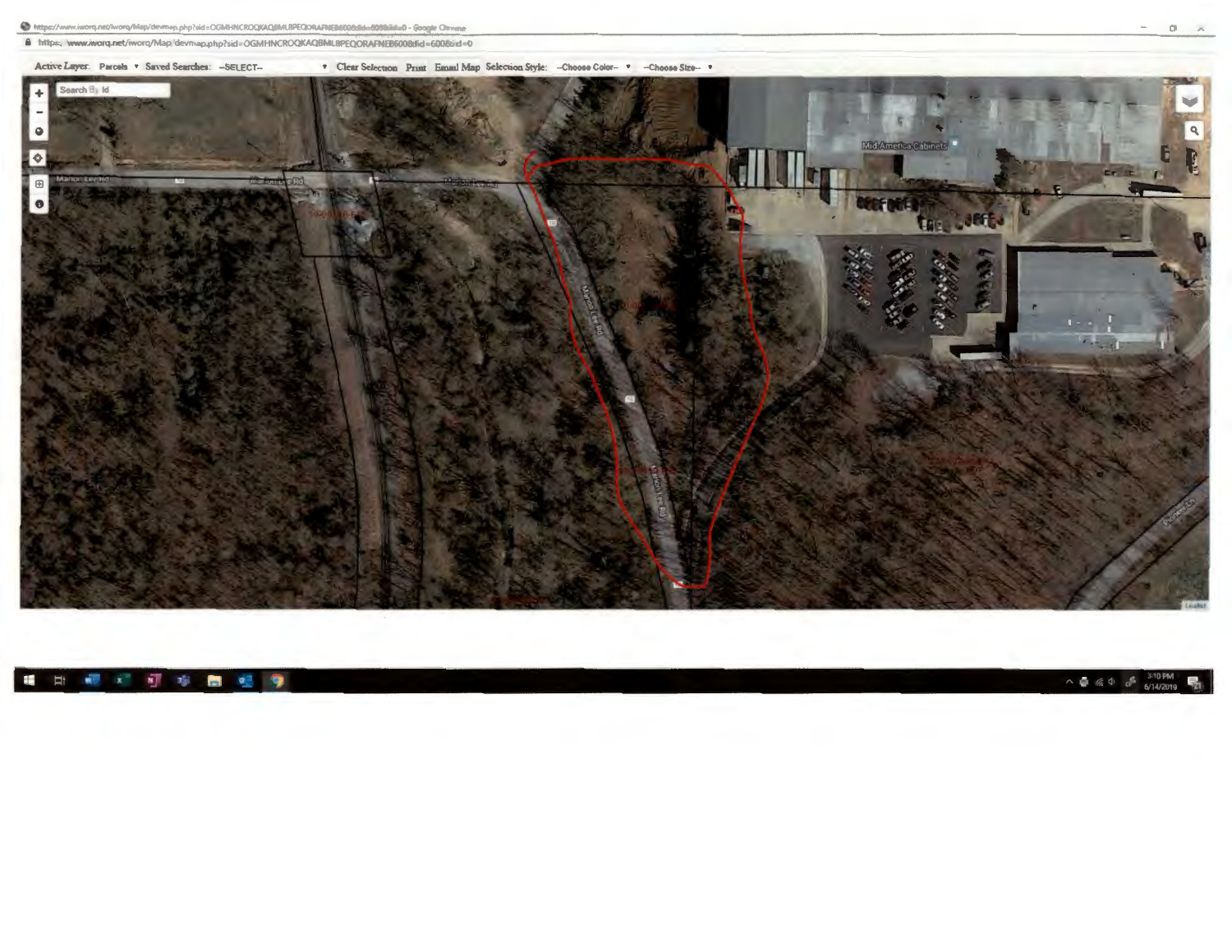https://www.iworq.net/iworq/Map/devmap.php?sid=OGMHNCROQKAQBMLBPEQORAFNEB600bBd=6000iid=0 - Google Chrome

https://www.iworq.net/iworq/Map/devmap.php?sid=OGMHNCROQKAQBMLBPEQORAFNEB600&fid=6008sid=0



#### **国家文团市西银身** ÷

 $\wedge$  **6**  $\frac{3!0 \text{ PM}}{6/14/2019}$ 

 $- 0 \times \overline{\wedge}$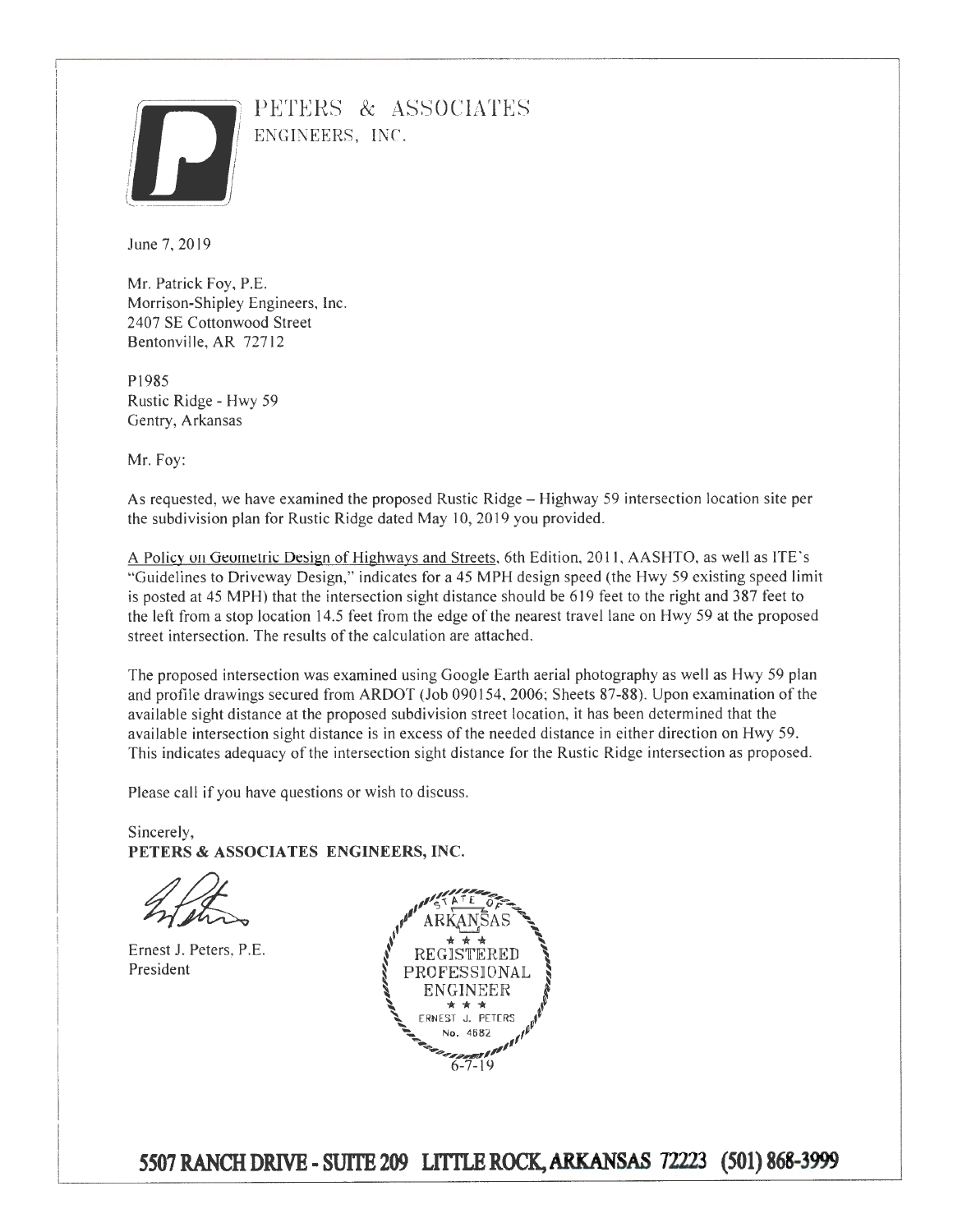

PETERS & ASSOCIATES ENGINEERS, INC.

June 7, 2019

Mr. Patrick Foy, P.E. Morrison-Shipley Engineers, Inc. 2407 SE Cottonwood Street Bentonville, AR 72712

PI985 Rustic Ridge - Hwy 59 Gentry, Arkansas

Mr. Foy:

As requested, we have examined the proposed Rustic Ridge- Highway 59 intersection location site per the subdivision plan for Rustic Ridge dated May 10, 2019 you provided.

A Policy on Geometric Design of Highways and Streets, 6th Edition, 2011, AASHTO, as well as ITE's "Guidelines to Driveway Design," indicates for a 45 MPH design speed (the Hwy 59 existing speed limit is posted at 45 MPH) that the intersection sight distance should be 619 feet to the right and 387 feet to the left from a stop location 14.5 feet from the edge of the nearest travel lane on Hwy 59 at the proposed street intersection. The results of the calculation are attached.

The proposed intersection was examined using Google Earth aerial photography as well as Hwy 59 plan and profile drawings secured from ARDOT (Job 090154, 2006; Sheets 87-88). Upon examination of the available sight distance at the proposed subdivision street location, it has been determined that the available intersection sight distance is in excess of the needed distance in either direction on Hwy 59. This indicates adequacy of the intersection sight distance for the Rustic Ridge intersection as proposed.

Please call if you have questions or wish to discuss.

Sincerely, **PETERS & ASSOCIATES ENGINEERS, INC.** 

Ernest J. Peters, P.E. President



*5501* **RANCH DRIVE- SUITE 209 LfiTLE ROCK, ARKANSAS 72223 (501) 868-3999**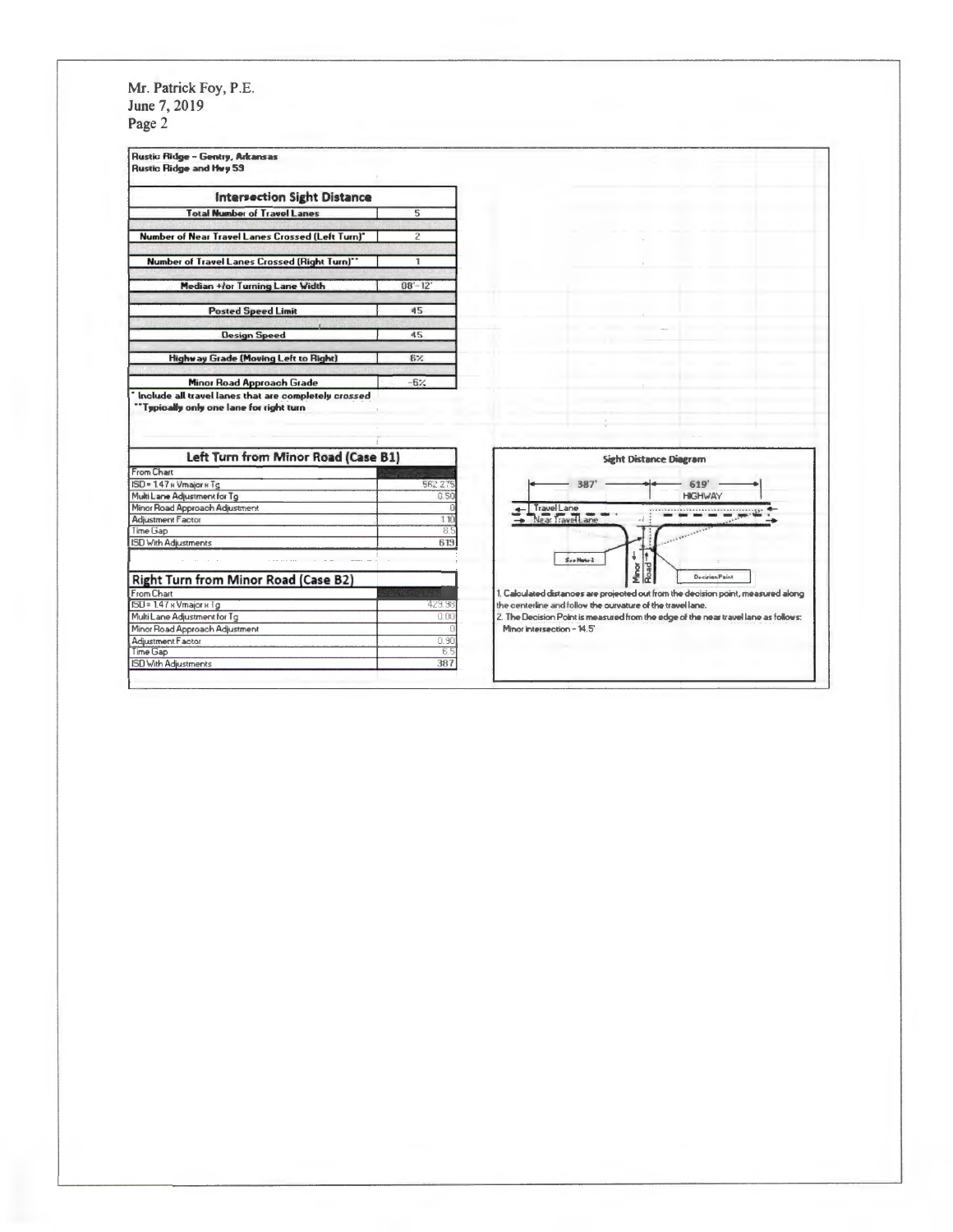Mr. Patrick Foy, P.E.<br>June 7, 2019 Page 2

| <b>Intersection Sight Distance</b><br><b>Total Number of Travel Lanes</b><br>5<br>Number of Near Travel Lanes Crossed (Left Turn)*<br>$\overline{2}$<br>Number of Travel Lanes Crossed (Right Turn)"<br>$\mathbf{1}$<br>Median +/or Turning Lane Width<br>$08 - 12$<br><b>Posted Speed Limit</b><br>45<br><b>Design Speed</b><br>45                                                |                |
|------------------------------------------------------------------------------------------------------------------------------------------------------------------------------------------------------------------------------------------------------------------------------------------------------------------------------------------------------------------------------------|----------------|
|                                                                                                                                                                                                                                                                                                                                                                                    |                |
|                                                                                                                                                                                                                                                                                                                                                                                    |                |
|                                                                                                                                                                                                                                                                                                                                                                                    |                |
|                                                                                                                                                                                                                                                                                                                                                                                    |                |
|                                                                                                                                                                                                                                                                                                                                                                                    |                |
|                                                                                                                                                                                                                                                                                                                                                                                    |                |
|                                                                                                                                                                                                                                                                                                                                                                                    |                |
| Highway Grade (Moving Left to Right)<br>$6\%$                                                                                                                                                                                                                                                                                                                                      |                |
| Minor Road Approach Grade<br>$-6\%$                                                                                                                                                                                                                                                                                                                                                |                |
| Left Turn from Minor Road (Case B1)<br><b>Sight Distance Diagram</b>                                                                                                                                                                                                                                                                                                               |                |
|                                                                                                                                                                                                                                                                                                                                                                                    |                |
|                                                                                                                                                                                                                                                                                                                                                                                    |                |
| <b>562 275</b><br>387<br>619                                                                                                                                                                                                                                                                                                                                                       |                |
| 0.50<br><b>HIGHWAY</b>                                                                                                                                                                                                                                                                                                                                                             |                |
| Travel Lane                                                                                                                                                                                                                                                                                                                                                                        |                |
| Near TravelLane<br>11                                                                                                                                                                                                                                                                                                                                                              |                |
| 8.5                                                                                                                                                                                                                                                                                                                                                                                |                |
| 619<br>÷                                                                                                                                                                                                                                                                                                                                                                           |                |
| See Hote 2                                                                                                                                                                                                                                                                                                                                                                         |                |
| Minor<br>Road                                                                                                                                                                                                                                                                                                                                                                      | Decirion Point |
| 1. Calculated distances are projected out from the decision point, measured along                                                                                                                                                                                                                                                                                                  |                |
| 423.98<br>the centerline and follow the ourvature of the travel lane.                                                                                                                                                                                                                                                                                                              |                |
| 0.00<br>2. The Decision Point is measured from the edge of the near travel lane as follows:                                                                                                                                                                                                                                                                                        |                |
| Minor intersection - 14.5'                                                                                                                                                                                                                                                                                                                                                         |                |
| From Chart<br>ISD = 1.47 и Vmajor и Tg<br>Multi Lane Adjustment for Tg<br>Minor Road Approach Adjustment<br><b>Adjustment Factor</b><br>Time Gap<br>ISD With Adjustments<br><b>Right Turn from Minor Road (Case B2)</b><br>From Chart<br>ISD = 1.47 x Vmajor x Tg<br>Multi Lane Adjustment for Tg<br>Minor Road Approach Adjustment<br>Adjustment Factor<br>0.90<br>Time Gap<br>65 |                |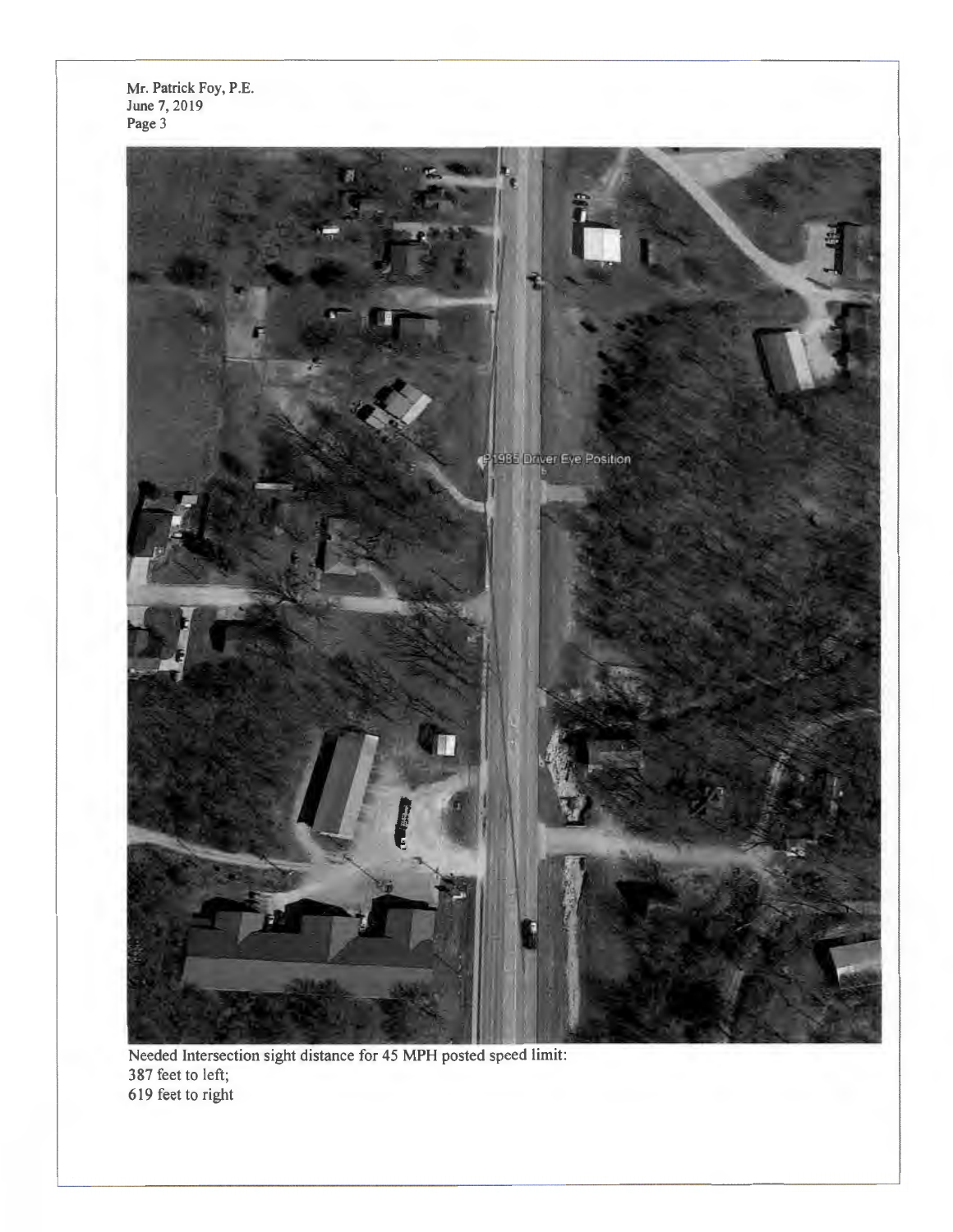Mr. Patrick Fay, P.E. June 7, 2019 Page 3



Needed Intersection sight distance for 45 **MPH** posted speed limit: 387 feet to left; 619 feet to right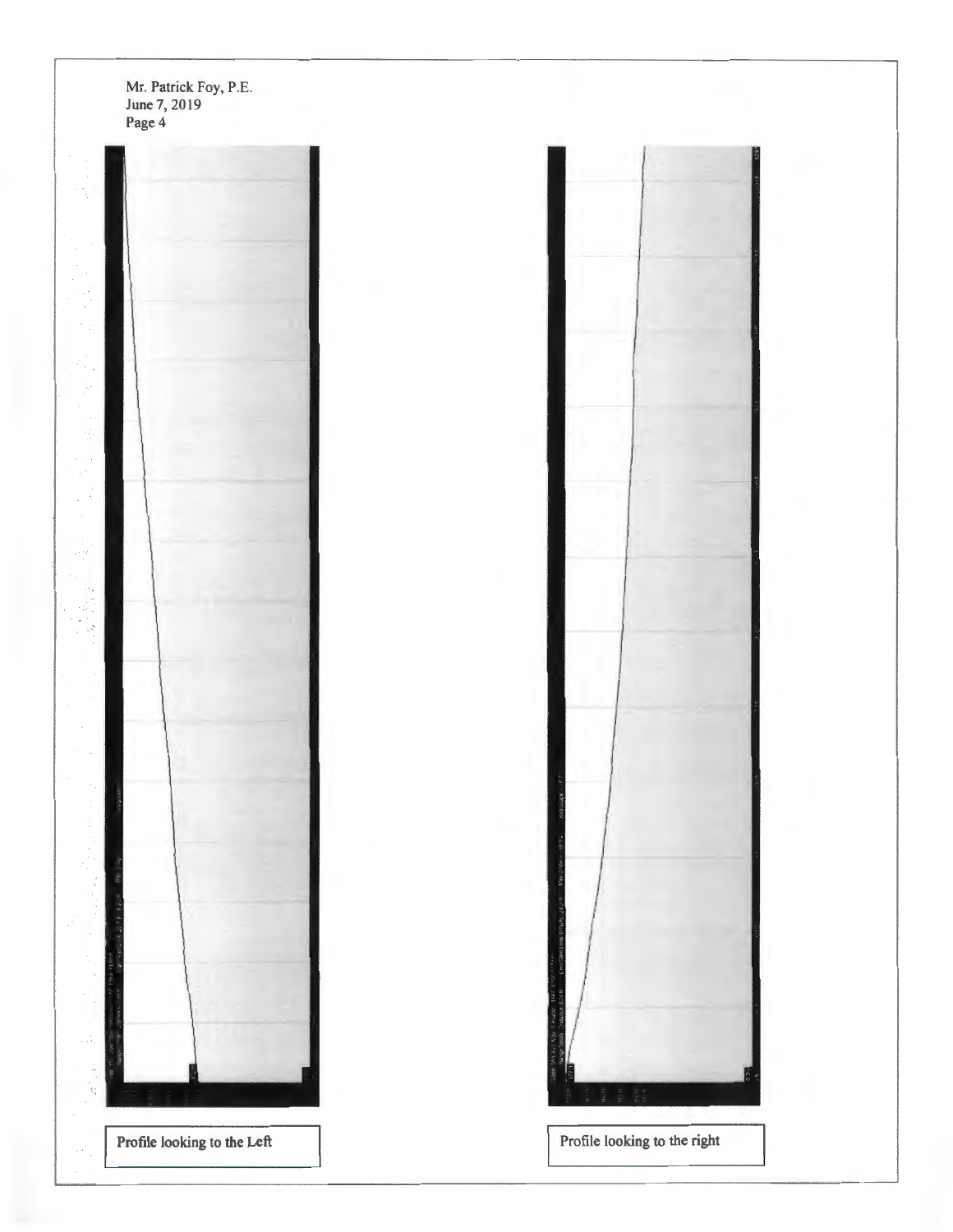Mr. Patrick Foy, P.E. June 7, 2019 Page 4  $\overline{\mathcal{L}}$ ا ج Profile looking to the Left Profile looking to the right

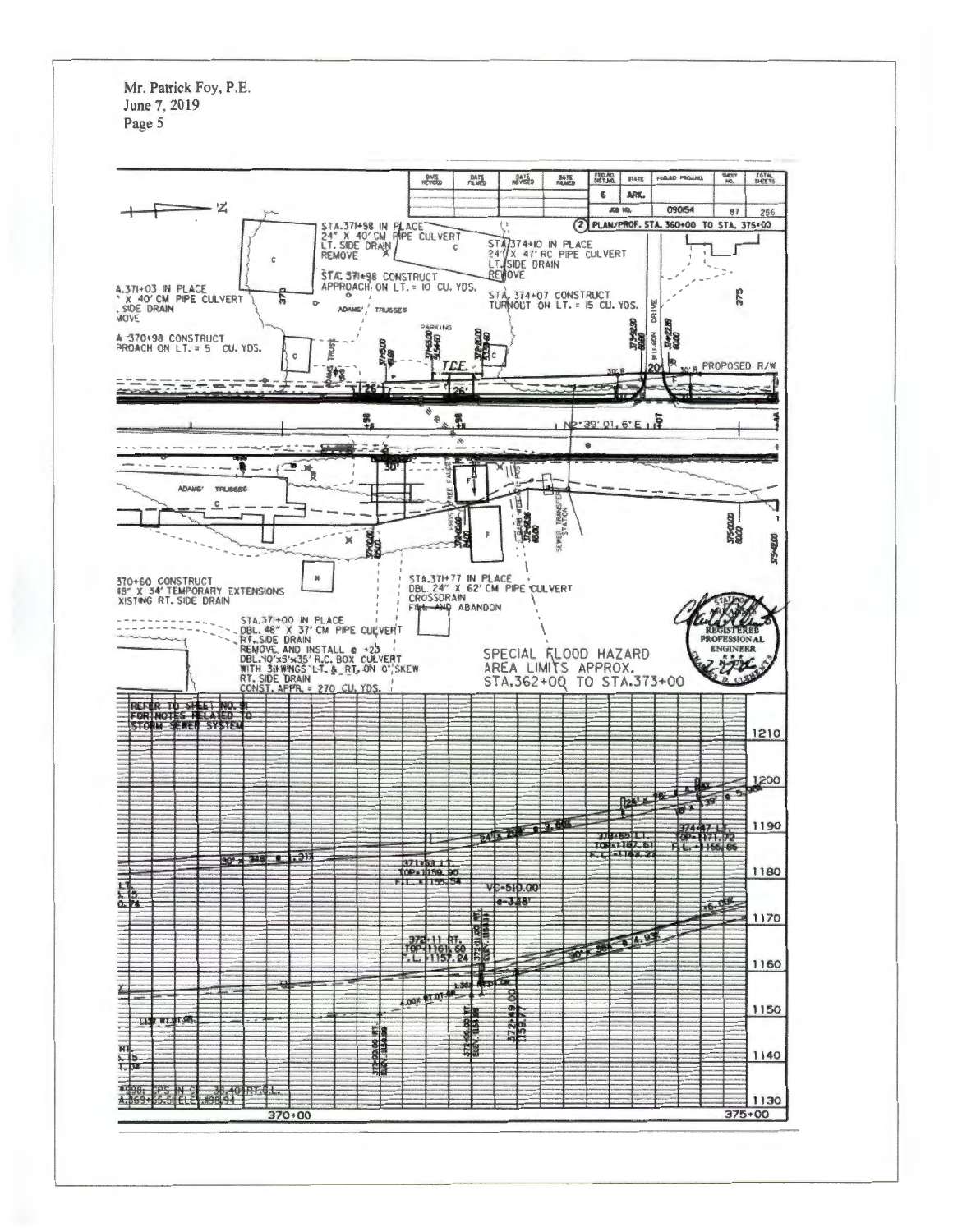Mr. Patrick Foy, P.E. June 7, 2019 Page 5

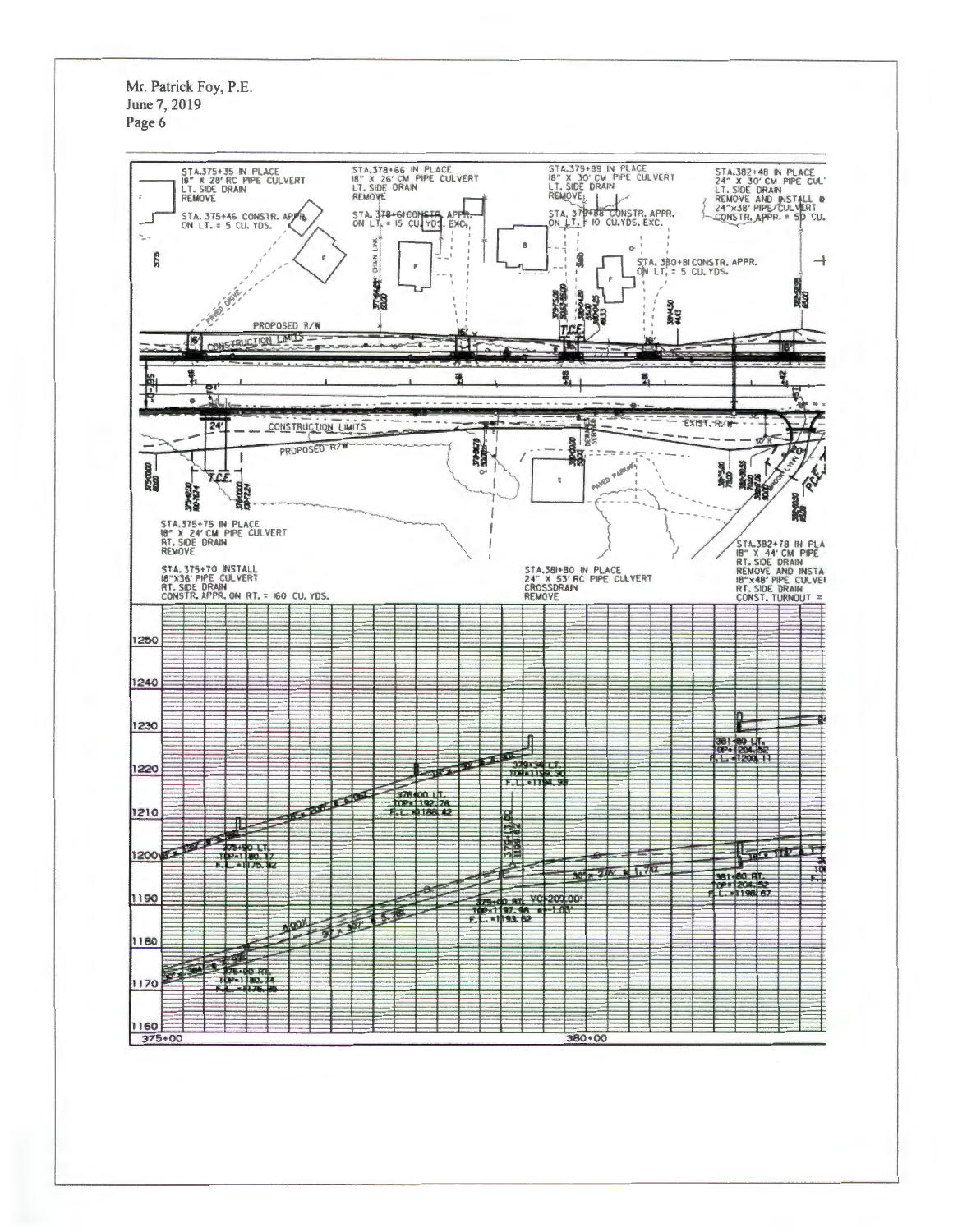Mr. Patrick Foy, P.E. June 7, 2019 Page 6